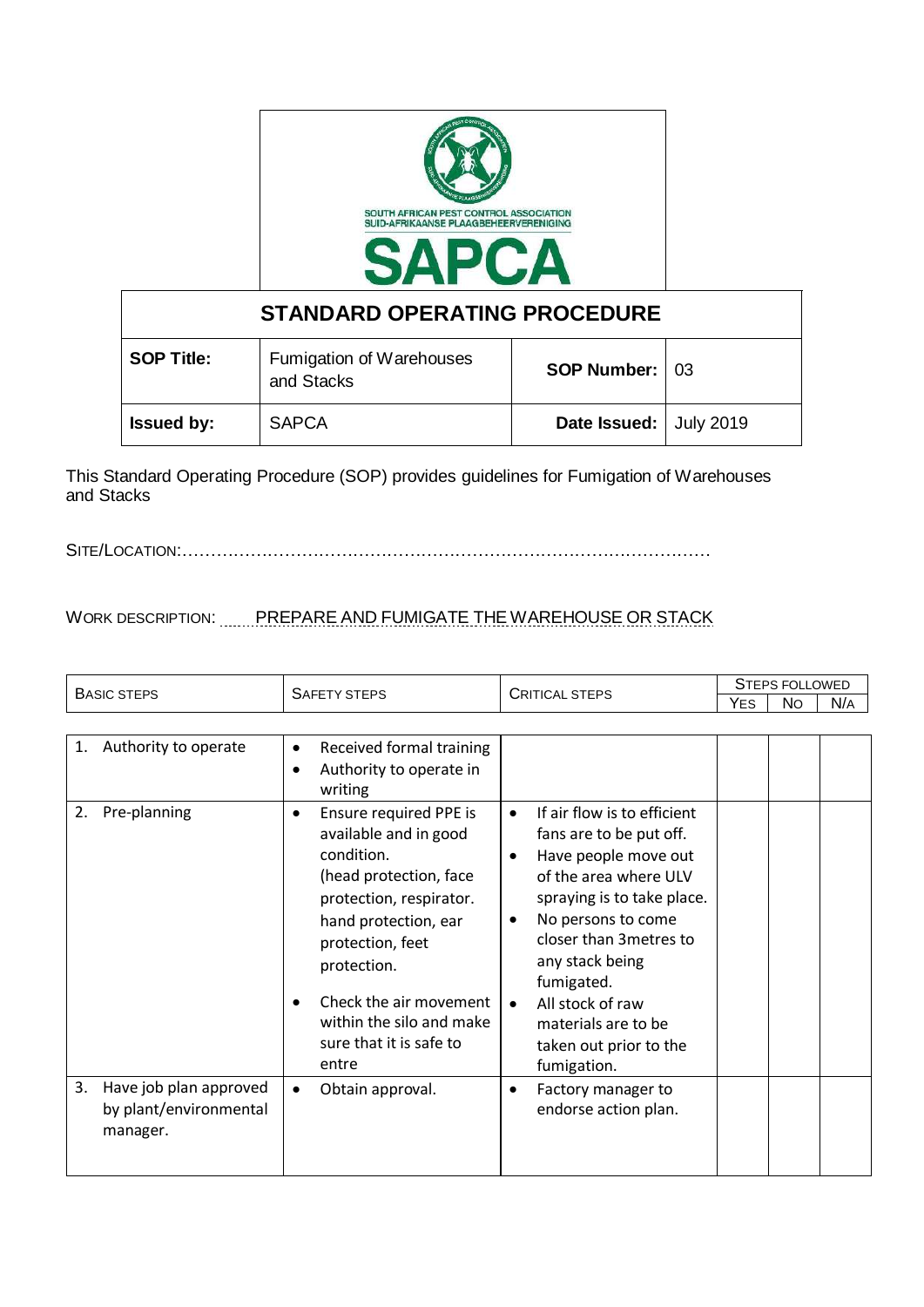

| <b>STANDARD OPERATING PROCEDURE</b> |                                        |                        |  |  |  |
|-------------------------------------|----------------------------------------|------------------------|--|--|--|
| <b>SOP Title:</b>                   | Fumigation of Warehouses<br>and Stacks | <b>SOP Number: 03</b>  |  |  |  |
| <b>Issued by:</b>                   | <b>SAPCA</b>                           | Date Issued: July 2019 |  |  |  |

This Standard Operating Procedure (SOP) provides guidelines for Fumigation of Warehouses and Stacks

SITE/LOCATION:…………………………………………………………………………………

WORK DESCRIPTION: PREPARE AND FUMIGATE THE WAREHOUSE OR STACK

|                                                                    | <b>SAFETY STEPS</b>                                                                                                                                                                                                                                                                               | <b>CRITICAL STEPS</b>                                                                                                                                                                                                                                                                                                                                           | <b>STEPS FOLLOWED</b> |           |     |
|--------------------------------------------------------------------|---------------------------------------------------------------------------------------------------------------------------------------------------------------------------------------------------------------------------------------------------------------------------------------------------|-----------------------------------------------------------------------------------------------------------------------------------------------------------------------------------------------------------------------------------------------------------------------------------------------------------------------------------------------------------------|-----------------------|-----------|-----|
| <b>BASIC STEPS</b>                                                 |                                                                                                                                                                                                                                                                                                   |                                                                                                                                                                                                                                                                                                                                                                 | <b>YES</b>            | <b>No</b> | N/A |
|                                                                    |                                                                                                                                                                                                                                                                                                   |                                                                                                                                                                                                                                                                                                                                                                 |                       |           |     |
| Authority to operate<br>1.                                         | Received formal training<br>$\bullet$                                                                                                                                                                                                                                                             |                                                                                                                                                                                                                                                                                                                                                                 |                       |           |     |
|                                                                    | Authority to operate in<br>$\bullet$<br>writing                                                                                                                                                                                                                                                   |                                                                                                                                                                                                                                                                                                                                                                 |                       |           |     |
| 2.<br>Pre-planning                                                 | Ensure required PPE is<br>$\bullet$<br>available and in good<br>condition.<br>(head protection, face<br>protection, respirator.<br>hand protection, ear<br>protection, feet<br>protection.<br>Check the air movement<br>$\bullet$<br>within the silo and make<br>sure that it is safe to<br>entre | If air flow is to efficient<br>$\bullet$<br>fans are to be put off.<br>Have people move out<br>$\bullet$<br>of the area where ULV<br>spraying is to take place.<br>No persons to come<br>$\bullet$<br>closer than 3 metres to<br>any stack being<br>fumigated.<br>All stock of raw<br>$\bullet$<br>materials are to be<br>taken out prior to the<br>fumigation. |                       |           |     |
| Have job plan approved<br>3.<br>by plant/environmental<br>manager. | Obtain approval.<br>$\bullet$                                                                                                                                                                                                                                                                     | Factory manager to<br>$\bullet$<br>endorse action plan.                                                                                                                                                                                                                                                                                                         |                       |           |     |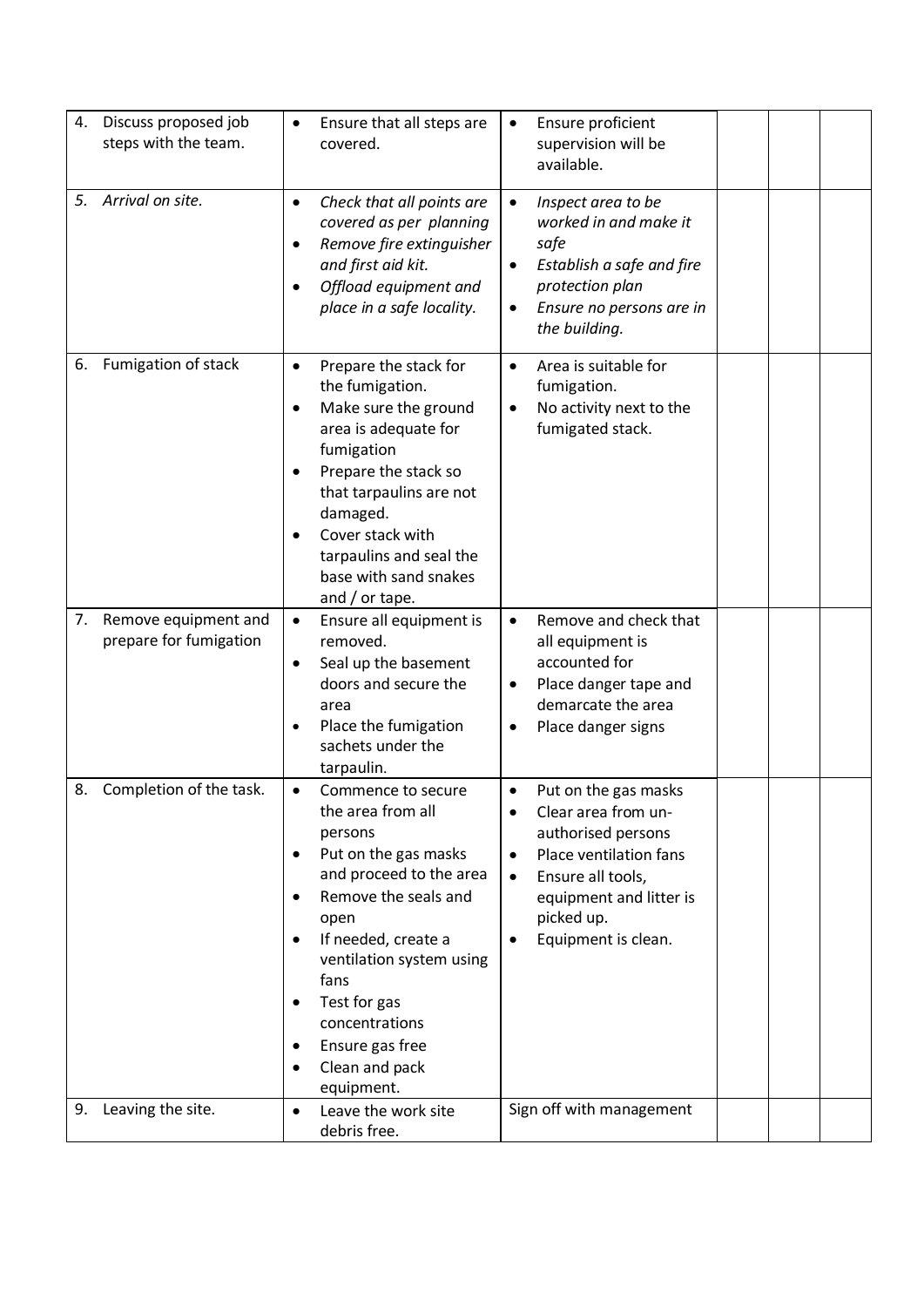| 4. | Discuss proposed job<br>steps with the team.      | Ensure that all steps are<br>$\bullet$<br>covered.                                                                                                                                                                                                                                                                          | Ensure proficient<br>$\bullet$<br>supervision will be<br>available.                                                                                                                                                                       |
|----|---------------------------------------------------|-----------------------------------------------------------------------------------------------------------------------------------------------------------------------------------------------------------------------------------------------------------------------------------------------------------------------------|-------------------------------------------------------------------------------------------------------------------------------------------------------------------------------------------------------------------------------------------|
| 5. | Arrival on site.                                  | Check that all points are<br>$\bullet$<br>covered as per planning<br>Remove fire extinguisher<br>$\bullet$<br>and first aid kit.<br>Offload equipment and<br>$\bullet$<br>place in a safe locality.                                                                                                                         | Inspect area to be<br>worked in and make it<br>safe<br>Establish a safe and fire<br>$\bullet$<br>protection plan<br>Ensure no persons are in<br>$\bullet$<br>the building.                                                                |
| 6. | Fumigation of stack                               | Prepare the stack for<br>$\bullet$<br>the fumigation.<br>Make sure the ground<br>$\bullet$<br>area is adequate for<br>fumigation<br>Prepare the stack so<br>that tarpaulins are not<br>damaged.<br>Cover stack with<br>$\bullet$<br>tarpaulins and seal the<br>base with sand snakes<br>and $/$ or tape.                    | Area is suitable for<br>$\bullet$<br>fumigation.<br>No activity next to the<br>$\bullet$<br>fumigated stack.                                                                                                                              |
|    | 7. Remove equipment and<br>prepare for fumigation | Ensure all equipment is<br>$\bullet$<br>removed.<br>Seal up the basement<br>$\bullet$<br>doors and secure the<br>area<br>Place the fumigation<br>$\bullet$<br>sachets under the<br>tarpaulin.                                                                                                                               | Remove and check that<br>$\bullet$<br>all equipment is<br>accounted for<br>Place danger tape and<br>$\bullet$<br>demarcate the area<br>Place danger signs<br>$\bullet$                                                                    |
|    | 8. Completion of the task.                        | Commence to secure<br>٠<br>the area from all<br>persons<br>Put on the gas masks<br>٠<br>and proceed to the area<br>Remove the seals and<br>٠<br>open<br>If needed, create a<br>٠<br>ventilation system using<br>fans<br>Test for gas<br>$\bullet$<br>concentrations<br>Ensure gas free<br>٠<br>Clean and pack<br>equipment. | Put on the gas masks<br>٠<br>Clear area from un-<br>$\bullet$<br>authorised persons<br>Place ventilation fans<br>$\bullet$<br>Ensure all tools,<br>$\bullet$<br>equipment and litter is<br>picked up.<br>Equipment is clean.<br>$\bullet$ |
|    | 9. Leaving the site.                              | Leave the work site<br>$\bullet$<br>debris free.                                                                                                                                                                                                                                                                            | Sign off with management                                                                                                                                                                                                                  |